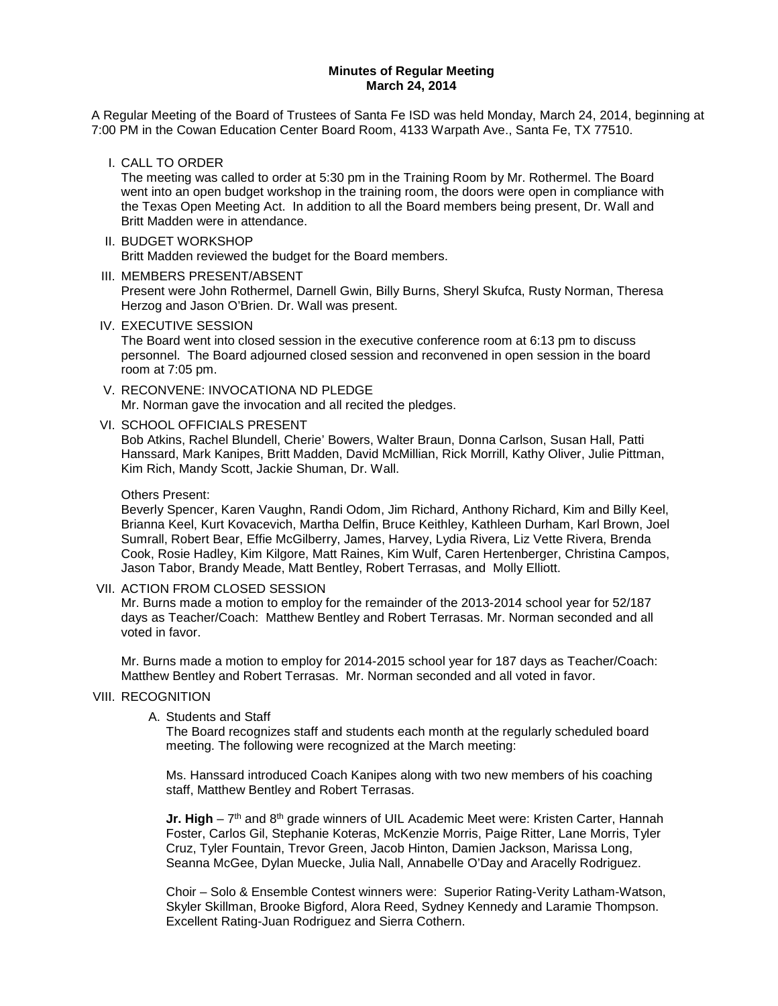#### **Minutes of Regular Meeting March 24, 2014**

A Regular Meeting of the Board of Trustees of Santa Fe ISD was held Monday, March 24, 2014, beginning at 7:00 PM in the Cowan Education Center Board Room, 4133 Warpath Ave., Santa Fe, TX 77510.

I. CALL TO ORDER

The meeting was called to order at 5:30 pm in the Training Room by Mr. Rothermel. The Board went into an open budget workshop in the training room, the doors were open in compliance with the Texas Open Meeting Act. In addition to all the Board members being present, Dr. Wall and Britt Madden were in attendance.

#### II. BUDGET WORKSHOP Britt Madden reviewed the budget for the Board members.

#### III. MEMBERS PRESENT/ABSENT

Present were John Rothermel, Darnell Gwin, Billy Burns, Sheryl Skufca, Rusty Norman, Theresa Herzog and Jason O'Brien. Dr. Wall was present.

IV. EXECUTIVE SESSION

The Board went into closed session in the executive conference room at 6:13 pm to discuss personnel. The Board adjourned closed session and reconvened in open session in the board room at 7:05 pm.

V. RECONVENE: INVOCATIONA ND PLEDGE Mr. Norman gave the invocation and all recited the pledges.

VI. SCHOOL OFFICIALS PRESENT

Bob Atkins, Rachel Blundell, Cherie' Bowers, Walter Braun, Donna Carlson, Susan Hall, Patti Hanssard, Mark Kanipes, Britt Madden, David McMillian, Rick Morrill, Kathy Oliver, Julie Pittman, Kim Rich, Mandy Scott, Jackie Shuman, Dr. Wall.

#### Others Present:

Beverly Spencer, Karen Vaughn, Randi Odom, Jim Richard, Anthony Richard, Kim and Billy Keel, Brianna Keel, Kurt Kovacevich, Martha Delfin, Bruce Keithley, Kathleen Durham, Karl Brown, Joel Sumrall, Robert Bear, Effie McGilberry, James, Harvey, Lydia Rivera, Liz Vette Rivera, Brenda Cook, Rosie Hadley, Kim Kilgore, Matt Raines, Kim Wulf, Caren Hertenberger, Christina Campos, Jason Tabor, Brandy Meade, Matt Bentley, Robert Terrasas, and Molly Elliott.

### VII. ACTION FROM CLOSED SESSION

Mr. Burns made a motion to employ for the remainder of the 2013-2014 school year for 52/187 days as Teacher/Coach: Matthew Bentley and Robert Terrasas. Mr. Norman seconded and all voted in favor.

Mr. Burns made a motion to employ for 2014-2015 school year for 187 days as Teacher/Coach: Matthew Bentley and Robert Terrasas. Mr. Norman seconded and all voted in favor.

### VIII. RECOGNITION

### A. Students and Staff

The Board recognizes staff and students each month at the regularly scheduled board meeting. The following were recognized at the March meeting:

Ms. Hanssard introduced Coach Kanipes along with two new members of his coaching staff, Matthew Bentley and Robert Terrasas.

**Jr. High** – 7<sup>th</sup> and 8<sup>th</sup> grade winners of UIL Academic Meet were: Kristen Carter, Hannah Foster, Carlos Gil, Stephanie Koteras, McKenzie Morris, Paige Ritter, Lane Morris, Tyler Cruz, Tyler Fountain, Trevor Green, Jacob Hinton, Damien Jackson, Marissa Long, Seanna McGee, Dylan Muecke, Julia Nall, Annabelle O'Day and Aracelly Rodriguez.

Choir – Solo & Ensemble Contest winners were: Superior Rating-Verity Latham-Watson, Skyler Skillman, Brooke Bigford, Alora Reed, Sydney Kennedy and Laramie Thompson. Excellent Rating-Juan Rodriguez and Sierra Cothern.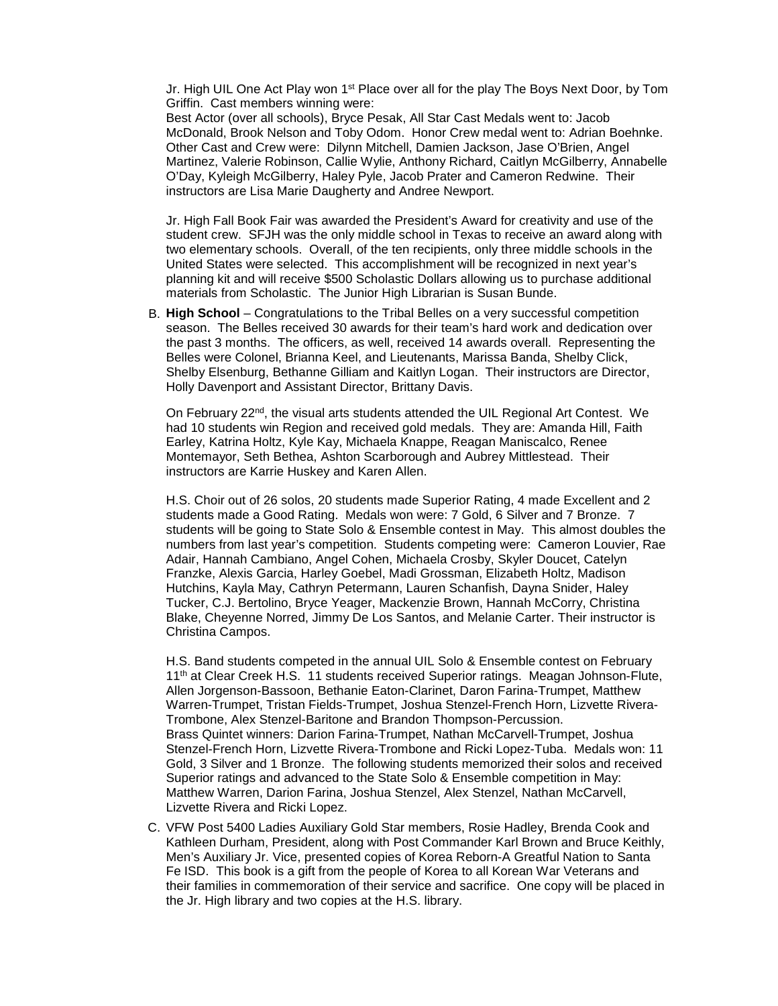Jr. High UIL One Act Play won 1<sup>st</sup> Place over all for the play The Boys Next Door, by Tom Griffin. Cast members winning were:

Best Actor (over all schools), Bryce Pesak, All Star Cast Medals went to: Jacob McDonald, Brook Nelson and Toby Odom. Honor Crew medal went to: Adrian Boehnke. Other Cast and Crew were: Dilynn Mitchell, Damien Jackson, Jase O'Brien, Angel Martinez, Valerie Robinson, Callie Wylie, Anthony Richard, Caitlyn McGilberry, Annabelle O'Day, Kyleigh McGilberry, Haley Pyle, Jacob Prater and Cameron Redwine. Their instructors are Lisa Marie Daugherty and Andree Newport.

Jr. High Fall Book Fair was awarded the President's Award for creativity and use of the student crew. SFJH was the only middle school in Texas to receive an award along with two elementary schools. Overall, of the ten recipients, only three middle schools in the United States were selected. This accomplishment will be recognized in next year's planning kit and will receive \$500 Scholastic Dollars allowing us to purchase additional materials from Scholastic. The Junior High Librarian is Susan Bunde.

B. **High School** – Congratulations to the Tribal Belles on a very successful competition season. The Belles received 30 awards for their team's hard work and dedication over the past 3 months. The officers, as well, received 14 awards overall. Representing the Belles were Colonel, Brianna Keel, and Lieutenants, Marissa Banda, Shelby Click, Shelby Elsenburg, Bethanne Gilliam and Kaitlyn Logan. Their instructors are Director, Holly Davenport and Assistant Director, Brittany Davis.

On February 22nd, the visual arts students attended the UIL Regional Art Contest. We had 10 students win Region and received gold medals. They are: Amanda Hill, Faith Earley, Katrina Holtz, Kyle Kay, Michaela Knappe, Reagan Maniscalco, Renee Montemayor, Seth Bethea, Ashton Scarborough and Aubrey Mittlestead. Their instructors are Karrie Huskey and Karen Allen.

H.S. Choir out of 26 solos, 20 students made Superior Rating, 4 made Excellent and 2 students made a Good Rating. Medals won were: 7 Gold, 6 Silver and 7 Bronze. 7 students will be going to State Solo & Ensemble contest in May. This almost doubles the numbers from last year's competition. Students competing were: Cameron Louvier, Rae Adair, Hannah Cambiano, Angel Cohen, Michaela Crosby, Skyler Doucet, Catelyn Franzke, Alexis Garcia, Harley Goebel, Madi Grossman, Elizabeth Holtz, Madison Hutchins, Kayla May, Cathryn Petermann, Lauren Schanfish, Dayna Snider, Haley Tucker, C.J. Bertolino, Bryce Yeager, Mackenzie Brown, Hannah McCorry, Christina Blake, Cheyenne Norred, Jimmy De Los Santos, and Melanie Carter. Their instructor is Christina Campos.

H.S. Band students competed in the annual UIL Solo & Ensemble contest on February 11<sup>th</sup> at Clear Creek H.S. 11 students received Superior ratings. Meagan Johnson-Flute, Allen Jorgenson-Bassoon, Bethanie Eaton-Clarinet, Daron Farina-Trumpet, Matthew Warren-Trumpet, Tristan Fields-Trumpet, Joshua Stenzel-French Horn, Lizvette Rivera-Trombone, Alex Stenzel-Baritone and Brandon Thompson-Percussion. Brass Quintet winners: Darion Farina-Trumpet, Nathan McCarvell-Trumpet, Joshua Stenzel-French Horn, Lizvette Rivera-Trombone and Ricki Lopez-Tuba. Medals won: 11 Gold, 3 Silver and 1 Bronze. The following students memorized their solos and received Superior ratings and advanced to the State Solo & Ensemble competition in May: Matthew Warren, Darion Farina, Joshua Stenzel, Alex Stenzel, Nathan McCarvell, Lizvette Rivera and Ricki Lopez.

C. VFW Post 5400 Ladies Auxiliary Gold Star members, Rosie Hadley, Brenda Cook and Kathleen Durham, President, along with Post Commander Karl Brown and Bruce Keithly, Men's Auxiliary Jr. Vice, presented copies of Korea Reborn-A Greatful Nation to Santa Fe ISD. This book is a gift from the people of Korea to all Korean War Veterans and their families in commemoration of their service and sacrifice. One copy will be placed in the Jr. High library and two copies at the H.S. library.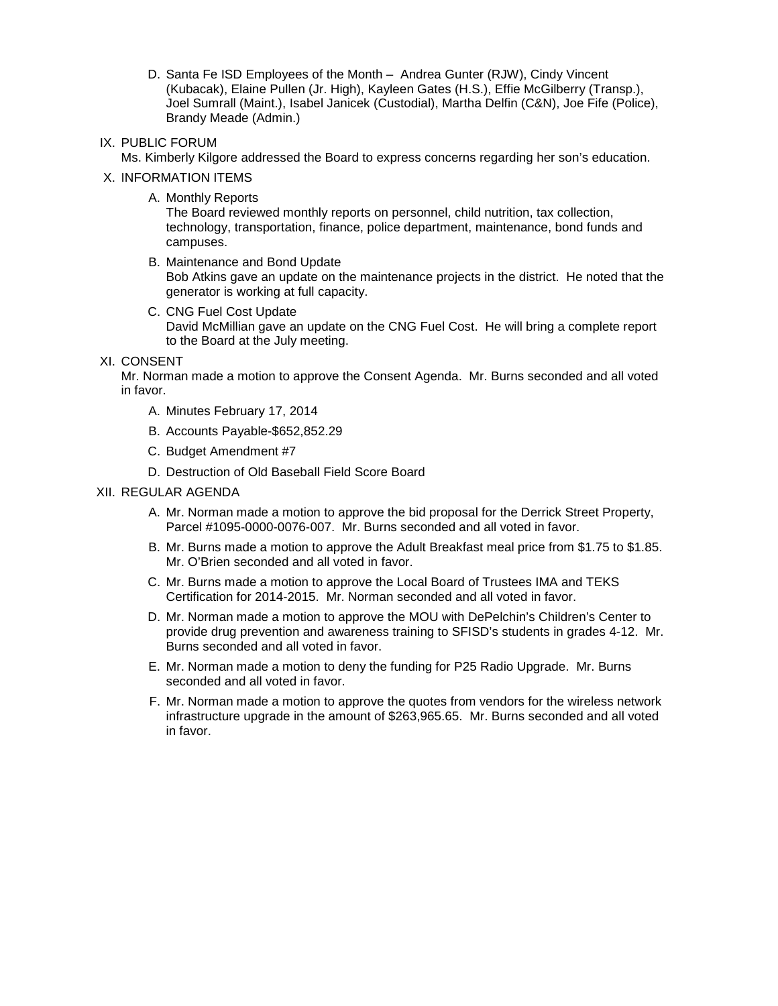D. Santa Fe ISD Employees of the Month – Andrea Gunter (RJW), Cindy Vincent (Kubacak), Elaine Pullen (Jr. High), Kayleen Gates (H.S.), Effie McGilberry (Transp.), Joel Sumrall (Maint.), Isabel Janicek (Custodial), Martha Delfin (C&N), Joe Fife (Police), Brandy Meade (Admin.)

## IX. PUBLIC FORUM

Ms. Kimberly Kilgore addressed the Board to express concerns regarding her son's education.

## X. INFORMATION ITEMS

A. Monthly Reports

The Board reviewed monthly reports on personnel, child nutrition, tax collection, technology, transportation, finance, police department, maintenance, bond funds and campuses.

B. Maintenance and Bond Update

Bob Atkins gave an update on the maintenance projects in the district. He noted that the generator is working at full capacity.

- C. CNG Fuel Cost Update David McMillian gave an update on the CNG Fuel Cost. He will bring a complete report to the Board at the July meeting.
- XI. CONSENT

Mr. Norman made a motion to approve the Consent Agenda. Mr. Burns seconded and all voted in favor.

- A. Minutes February 17, 2014
- B. Accounts Payable-\$652,852.29
- C. Budget Amendment #7
- D. Destruction of Old Baseball Field Score Board

## XII. REGULAR AGENDA

- A. Mr. Norman made a motion to approve the bid proposal for the Derrick Street Property, Parcel #1095-0000-0076-007. Mr. Burns seconded and all voted in favor.
- B. Mr. Burns made a motion to approve the Adult Breakfast meal price from \$1.75 to \$1.85. Mr. O'Brien seconded and all voted in favor.
- C. Mr. Burns made a motion to approve the Local Board of Trustees IMA and TEKS Certification for 2014-2015. Mr. Norman seconded and all voted in favor.
- D. Mr. Norman made a motion to approve the MOU with DePelchin's Children's Center to provide drug prevention and awareness training to SFISD's students in grades 4-12. Mr. Burns seconded and all voted in favor.
- E. Mr. Norman made a motion to deny the funding for P25 Radio Upgrade. Mr. Burns seconded and all voted in favor.
- F. Mr. Norman made a motion to approve the quotes from vendors for the wireless network infrastructure upgrade in the amount of \$263,965.65. Mr. Burns seconded and all voted in favor.